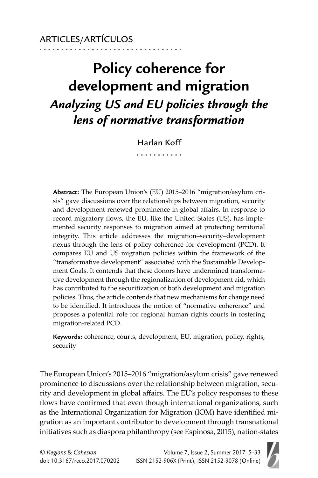# **Policy coherence for development and migration** *Analyzing US and EU policies through the lens of normative transformation*

Harlan Koff

**Abstract:** The European Union's (EU) 2015–2016 "migration/asylum crisis" gave discussions over the relationships between migration, security and development renewed prominence in global affairs. In response to record migratory flows, the EU, like the United States (US), has implemented security responses to migration aimed at protecting territorial integrity. This article addresses the migration–security–development nexus through the lens of policy coherence for development (PCD). It compares EU and US migration policies within the framework of the "transformative development" associated with the Sustainable Development Goals. It contends that these donors have undermined transformative development through the regionalization of development aid, which has contributed to the securitization of both development and migration policies. Thus, the article contends that new mechanisms for change need to be identified. It introduces the notion of "normative coherence" and proposes a potential role for regional human rights courts in fostering migration-related PCD.

**Keywords:** coherence, courts, development, EU, migration, policy, rights, security

The European Union's 2015–2016 "migration/asylum crisis" gave renewed prominence to discussions over the relationship between migration, security and development in global affairs. The EU's policy responses to these flows have confirmed that even though international organizations, such as the International Organization for Migration (IOM) have identified migration as an important contributor to development through transnational initiatives such as diaspora philanthropy (see Espinosa, 2015), nation-states

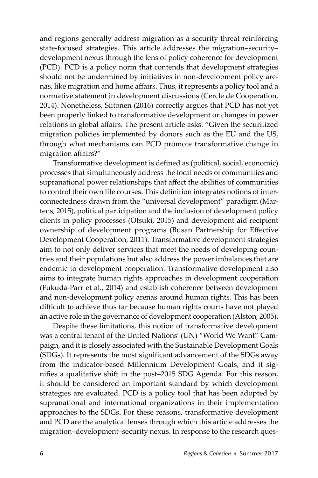and regions generally address migration as a security threat reinforcing state-focused strategies. This article addresses the migration–security– development nexus through the lens of policy coherence for development (PCD). PCD is a policy norm that contends that development strategies should not be undermined by initiatives in non-development policy arenas, like migration and home affairs. Thus, it represents a policy tool and a normative statement in development discussions (Cercle de Cooperation, 2014). Nonetheless, Siitonen (2016) correctly argues that PCD has not yet been properly linked to transformative development or changes in power relations in global affairs. The present article asks: "Given the securitized migration policies implemented by donors such as the EU and the US, through what mechanisms can PCD promote transformative change in migration affairs?"

Transformative development is defined as (political, social, economic) processes that simultaneously address the local needs of communities and supranational power relationships that affect the abilities of communities to control their own life courses. This definition integrates notions of interconnectedness drawn from the "universal development" paradigm (Martens, 2015), political participation and the inclusion of development policy clients in policy processes (Otsuki, 2015) and development aid recipient ownership of development programs (Busan Partnership for Effective Development Cooperation, 2011). Transformative development strategies aim to not only deliver services that meet the needs of developing countries and their populations but also address the power imbalances that are endemic to development cooperation. Transformative development also aims to integrate human rights approaches in development cooperation (Fukuda-Parr et al., 2014) and establish coherence between development and non-development policy arenas around human rights. This has been difficult to achieve thus far because human rights courts have not played an active role in the governance of development cooperation (Alston, 2005).

Despite these limitations, this notion of transformative development was a central tenant of the United Nations' (UN) "World We Want" Campaign, and it is closely associated with the Sustainable Development Goals (SDGs). It represents the most significant advancement of the SDGs away from the indicator-based Millennium Development Goals, and it signifies a qualitative shift in the post-2015 SDG Agenda. For this reason, it should be considered an important standard by which development strategies are evaluated. PCD is a policy tool that has been adopted by supranational and international organizations in their implementation approaches to the SDGs. For these reasons, transformative development and PCD are the analytical lenses through which this article addresses the migration–development–security nexus. In response to the research ques-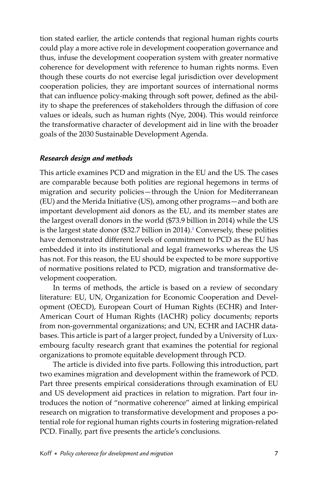tion stated earlier, the article contends that regional human rights courts could play a more active role in development cooperation governance and thus, infuse the development cooperation system with greater normative coherence for development with reference to human rights norms. Even though these courts do not exercise legal jurisdiction over development cooperation policies, they are important sources of international norms that can influence policy-making through soft power, defined as the ability to shape the preferences of stakeholders through the diffusion of core values or ideals, such as human rights (Nye, 2004). This would reinforce the transformative character of development aid in line with the broader goals of the 2030 Sustainable Development Agenda.

### *Research design and methods*

This article examines PCD and migration in the EU and the US. The cases are comparable because both polities are regional hegemons in terms of migration and security policies—through the Union for Mediterranean (EU) and the Merida Initiative (US), among other programs—and both are important development aid donors as the EU, and its member states are the largest overall donors in the world (\$73.9 billion in 2014) while the US is the largest state donor (\$32.7 billion in 2014).<sup>1</sup> Conversely, these polities have demonstrated different levels of commitment to PCD as the EU has embedded it into its institutional and legal frameworks whereas the US has not. For this reason, the EU should be expected to be more supportive of normative positions related to PCD, migration and transformative development cooperation.

In terms of methods, the article is based on a review of secondary literature: EU, UN, Organization for Economic Cooperation and Development (OECD), European Court of Human Rights (ECHR) and Inter-American Court of Human Rights (IACHR) policy documents; reports from non-governmental organizations; and UN, ECHR and IACHR databases. This article is part of a larger project, funded by a University of Luxembourg faculty research grant that examines the potential for regional organizations to promote equitable development through PCD.

The article is divided into five parts. Following this introduction, part two examines migration and development within the framework of PCD. Part three presents empirical considerations through examination of EU and US development aid practices in relation to migration. Part four introduces the notion of "normative coherence" aimed at linking empirical research on migration to transformative development and proposes a potential role for regional human rights courts in fostering migration-related PCD. Finally, part five presents the article's conclusions.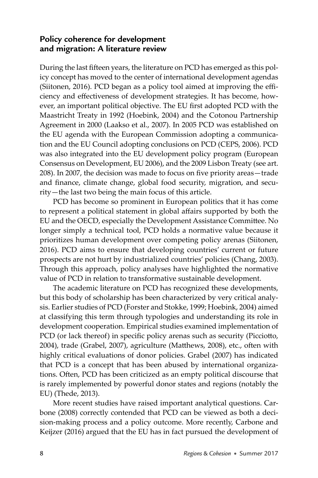# **Policy coherence for development and migration: A literature review**

During the last fifteen years, the literature on PCD has emerged as this policy concept has moved to the center of international development agendas (Siitonen, 2016). PCD began as a policy tool aimed at improving the efficiency and effectiveness of development strategies. It has become, however, an important political objective. The EU first adopted PCD with the Maastricht Treaty in 1992 (Hoebink, 2004) and the Cotonou Partnership Agreement in 2000 (Laakso et al., 2007). In 2005 PCD was established on the EU agenda with the European Commission adopting a communication and the EU Council adopting conclusions on PCD (CEPS, 2006). PCD was also integrated into the EU development policy program (European Consensus on Development, EU 2006), and the 2009 Lisbon Treaty (see art. 208). In 2007, the decision was made to focus on five priority areas—trade and finance, climate change, global food security, migration, and security—the last two being the main focus of this article.

PCD has become so prominent in European politics that it has come to represent a political statement in global affairs supported by both the EU and the OECD, especially the Development Assistance Committee. No longer simply a technical tool, PCD holds a normative value because it prioritizes human development over competing policy arenas (Siitonen, 2016). PCD aims to ensure that developing countries' current or future prospects are not hurt by industrialized countries' policies (Chang, 2003). Through this approach, policy analyses have highlighted the normative value of PCD in relation to transformative sustainable development.

The academic literature on PCD has recognized these developments, but this body of scholarship has been characterized by very critical analysis. Earlier studies of PCD (Forster and Stokke, 1999; Hoebink, 2004) aimed at classifying this term through typologies and understanding its role in development cooperation. Empirical studies examined implementation of PCD (or lack thereof) in specific policy arenas such as security (Picciotto, 2004), trade (Grabel, 2007), agriculture (Matthews, 2008), etc., often with highly critical evaluations of donor policies. Grabel (2007) has indicated that PCD is a concept that has been abused by international organizations. Often, PCD has been criticized as an empty political discourse that is rarely implemented by powerful donor states and regions (notably the EU) (Thede, 2013).

More recent studies have raised important analytical questions. Carbone (2008) correctly contended that PCD can be viewed as both a decision-making process and a policy outcome. More recently, Carbone and Keijzer (2016) argued that the EU has in fact pursued the development of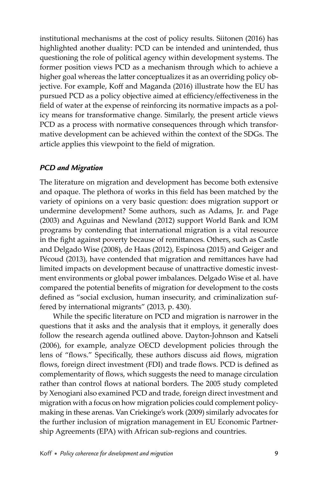institutional mechanisms at the cost of policy results. Siitonen (2016) has highlighted another duality: PCD can be intended and unintended, thus questioning the role of political agency within development systems. The former position views PCD as a mechanism through which to achieve a higher goal whereas the latter conceptualizes it as an overriding policy objective. For example, Koff and Maganda (2016) illustrate how the EU has pursued PCD as a policy objective aimed at efficiency/effectiveness in the field of water at the expense of reinforcing its normative impacts as a policy means for transformative change. Similarly, the present article views PCD as a process with normative consequences through which transformative development can be achieved within the context of the SDGs. The article applies this viewpoint to the field of migration.

### *PCD and Migration*

The literature on migration and development has become both extensive and opaque. The plethora of works in this field has been matched by the variety of opinions on a very basic question: does migration support or undermine development? Some authors, such as Adams, Jr. and Page (2003) and Aguinas and Newland (2012) support World Bank and IOM programs by contending that international migration is a vital resource in the fight against poverty because of remittances. Others, such as Castle and Delgado Wise (2008), de Haas (2012), Espinosa (2015) and Geiger and Pécoud (2013), have contended that migration and remittances have had limited impacts on development because of unattractive domestic investment environments or global power imbalances. Delgado Wise et al. have compared the potential benefits of migration for development to the costs defined as "social exclusion, human insecurity, and criminalization suffered by international migrants" (2013, p. 430).

While the specific literature on PCD and migration is narrower in the questions that it asks and the analysis that it employs, it generally does follow the research agenda outlined above. Dayton-Johnson and Katseli (2006), for example, analyze OECD development policies through the lens of "flows." Specifically, these authors discuss aid flows, migration flows, foreign direct investment (FDI) and trade flows. PCD is defined as complementarity of flows, which suggests the need to manage circulation rather than control flows at national borders. The 2005 study completed by Xenogiani also examined PCD and trade, foreign direct investment and migration with a focus on how migration policies could complement policymaking in these arenas. Van Criekinge's work (2009) similarly advocates for the further inclusion of migration management in EU Economic Partnership Agreements (EPA) with African sub-regions and countries.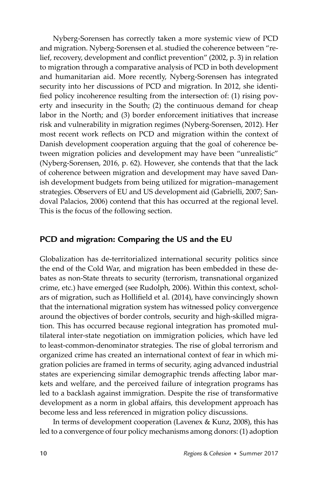Nyberg-Sorensen has correctly taken a more systemic view of PCD and migration. Nyberg-Sorensen et al. studied the coherence between "relief, recovery, development and conflict prevention" (2002, p. 3) in relation to migration through a comparative analysis of PCD in both development and humanitarian aid. More recently, Nyberg-Sorensen has integrated security into her discussions of PCD and migration. In 2012, she identified policy incoherence resulting from the intersection of: (1) rising poverty and insecurity in the South; (2) the continuous demand for cheap labor in the North; and (3) border enforcement initiatives that increase risk and vulnerability in migration regimes (Nyberg-Sorensen, 2012). Her most recent work reflects on PCD and migration within the context of Danish development cooperation arguing that the goal of coherence between migration policies and development may have been "unrealistic" (Nyberg-Sorensen, 2016, p. 62). However, she contends that that the lack of coherence between migration and development may have saved Danish development budgets from being utilized for migration–management strategies. Observers of EU and US development aid (Gabrielli, 2007; Sandoval Palacios, 2006) contend that this has occurred at the regional level. This is the focus of the following section.

# **PCD and migration: Comparing the US and the EU**

Globalization has de-territorialized international security politics since the end of the Cold War, and migration has been embedded in these debates as non-State threats to security (terrorism, transnational organized crime, etc.) have emerged (see Rudolph, 2006). Within this context, scholars of migration, such as Hollifield et al. (2014), have convincingly shown that the international migration system has witnessed policy convergence around the objectives of border controls, security and high-skilled migration. This has occurred because regional integration has promoted multilateral inter-state negotiation on immigration policies, which have led to least-common-denominator strategies. The rise of global terrorism and organized crime has created an international context of fear in which migration policies are framed in terms of security, aging advanced industrial states are experiencing similar demographic trends affecting labor markets and welfare, and the perceived failure of integration programs has led to a backlash against immigration. Despite the rise of transformative development as a norm in global affairs, this development approach has become less and less referenced in migration policy discussions.

In terms of development cooperation (Lavenex & Kunz, 2008), this has led to a convergence of four policy mechanisms among donors: (1) adoption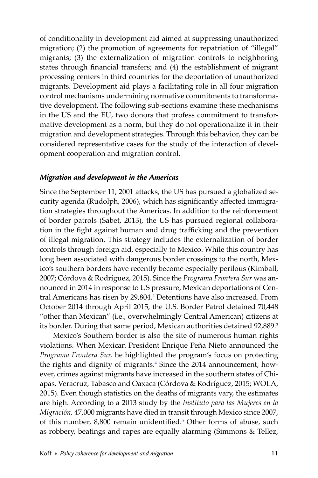of conditionality in development aid aimed at suppressing unauthorized migration; (2) the promotion of agreements for repatriation of "illegal" migrants; (3) the externalization of migration controls to neighboring states through financial transfers; and (4) the establishment of migrant processing centers in third countries for the deportation of unauthorized migrants. Development aid plays a facilitating role in all four migration control mechanisms undermining normative commitments to transformative development. The following sub-sections examine these mechanisms in the US and the EU, two donors that profess commitment to transformative development as a norm, but they do not operationalize it in their migration and development strategies. Through this behavior, they can be considered representative cases for the study of the interaction of development cooperation and migration control.

#### *Migration and development in the Americas*

Since the September 11, 2001 attacks, the US has pursued a globalized security agenda (Rudolph, 2006), which has significantly affected immigration strategies throughout the Americas. In addition to the reinforcement of border patrols (Sabet, 2013), the US has pursued regional collaboration in the fight against human and drug trafficking and the prevention of illegal migration. This strategy includes the externalization of border controls through foreign aid, especially to Mexico. While this country has long been associated with dangerous border crossings to the north, Mexico's southern borders have recently become especially perilous (Kimball, 2007; Córdova & Rodríguez, 2015). Since the *Programa Frontera Sur* was announced in 2014 in response to US pressure, Mexican deportations of Central Americans has risen by 29,804. [2](#page-20-0) Detentions have also increased. From October 2014 through April 2015, the U.S. Border Patrol detained 70,448 "other than Mexican" (i.e., overwhelmingly Central American) citizens at its border. During that same period, Mexican authorities detained 92,889.3

Mexico's Southern border is also the site of numerous human rights violations. When Mexican President Enrique Peña Nieto announced the *Programa Frontera Sur,* he highlighted the program's focus on protecting the rights and dignity of migrants. [4](#page-20-0) Since the 2014 announcement, however, crimes against migrants have increased in the southern states of Chiapas, Veracruz, Tabasco and Oaxaca (Córdova & Rodríguez, 2015; WOLA, 2015). Even though statistics on the deaths of migrants vary, the estimates are high. According to a 2013 study by the *Instituto para las Mujeres en la Migración,* 47,000 migrants have died in transit through Mexico since 2007, of this number, 8,800 remain unidentified.<sup>5</sup> Other forms of abuse, such as robbery, beatings and rapes are equally alarming (Simmons & Tellez,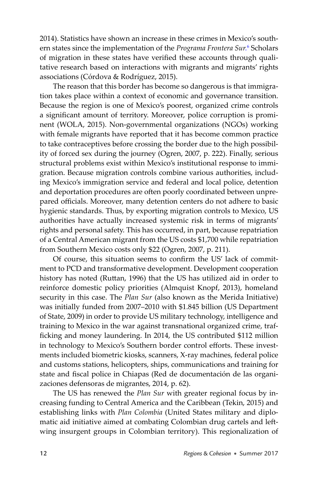2014). Statistics have shown an increase in these crimes in Mexico's southern states since the implementation of the *Programa Frontera Sur.* [6](#page-20-0) Scholars of migration in these states have verified these accounts through qualitative research based on interactions with migrants and migrants' rights associations (Córdova & Rodríguez, 2015).

The reason that this border has become so dangerous is that immigration takes place within a context of economic and governance transition. Because the region is one of Mexico's poorest, organized crime controls a significant amount of territory. Moreover, police corruption is prominent (WOLA, 2015). Non-governmental organizations (NGOs) working with female migrants have reported that it has become common practice to take contraceptives before crossing the border due to the high possibility of forced sex during the journey (Ogren, 2007, p. 222). Finally, serious structural problems exist within Mexico's institutional response to immigration. Because migration controls combine various authorities, including Mexico's immigration service and federal and local police, detention and deportation procedures are often poorly coordinated between unprepared officials. Moreover, many detention centers do not adhere to basic hygienic standards. Thus, by exporting migration controls to Mexico, US authorities have actually increased systemic risk in terms of migrants' rights and personal safety. This has occurred, in part, because repatriation of a Central American migrant from the US costs \$1,700 while repatriation from Southern Mexico costs only \$22 (Ogren, 2007, p. 211).

Of course, this situation seems to confirm the US' lack of commitment to PCD and transformative development. Development cooperation history has noted (Ruttan, 1996) that the US has utilized aid in order to reinforce domestic policy priorities (Almquist Knopf, 2013), homeland security in this case. The *Plan Sur* (also known as the Merida Initiative) was initially funded from 2007–2010 with \$1.845 billion (US Department of State, 2009) in order to provide US military technology, intelligence and training to Mexico in the war against transnational organized crime, trafficking and money laundering. In 2014, the US contributed \$112 million in technology to Mexico's Southern border control efforts. These investments included biometric kiosks, scanners, X-ray machines, federal police and customs stations, helicopters, ships, communications and training for state and fiscal police in Chiapas (Red de documentación de las organizaciones defensoras de migrantes, 2014, p. 62).

The US has renewed the *Plan Sur* with greater regional focus by increasing funding to Central America and the Caribbean (Tekin, 2015) and establishing links with *Plan Colombia* (United States military and diplomatic aid initiative aimed at combating Colombian drug cartels and leftwing insurgent groups in Colombian territory). This regionalization of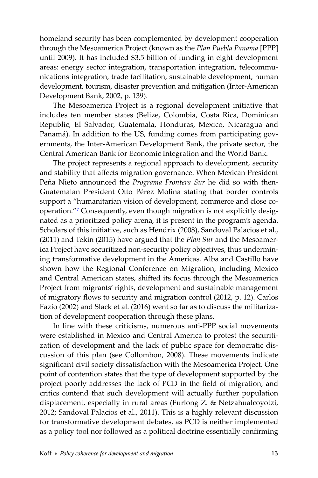homeland security has been complemented by development cooperation through the Mesoamerica Project (known as the *Plan Puebla Panama* [PPP] until 2009). It has included \$3.5 billion of funding in eight development areas: energy sector integration, transportation integration, telecommunications integration, trade facilitation, sustainable development, human development, tourism, disaster prevention and mitigation (Inter-American Development Bank, 2002, p. 139).

The Mesoamerica Project is a regional development initiative that includes ten member states (Belize, Colombia, Costa Rica, Dominican Republic, El Salvador, Guatemala, Honduras, Mexico, Nicaragua and Panamá). In addition to the US, funding comes from participating governments, the Inter-American Development Bank, the private sector, the Central American Bank for Economic Integration and the World Bank.

The project represents a regional approach to development, security and stability that affects migration governance. When Mexican President Peña Nieto announced the *Programa Frontera Sur* he did so with then-Guatemalan President Otto Pérez Molina stating that border controls support a "humanitarian vision of development, commerce and close cooperation.["7](#page-20-0) Consequently, even though migration is not explicitly designated as a prioritized policy arena, it is present in the program's agenda. Scholars of this initiative, such as Hendrix (2008), Sandoval Palacios et al., (2011) and Tekin (2015) have argued that the *Plan Sur* and the Mesoamerica Project have securitized non-security policy objectives, thus undermining transformative development in the Americas. Alba and Castillo have shown how the Regional Conference on Migration, including Mexico and Central American states, shifted its focus through the Mesoamerica Project from migrants' rights, development and sustainable management of migratory flows to security and migration control (2012, p. 12). Carlos Fazio (2002) and Slack et al. (2016) went so far as to discuss the militarization of development cooperation through these plans.

In line with these criticisms, numerous anti-PPP social movements were established in Mexico and Central America to protest the securitization of development and the lack of public space for democratic discussion of this plan (see Collombon, 2008). These movements indicate significant civil society dissatisfaction with the Mesoamerica Project. One point of contention states that the type of development supported by the project poorly addresses the lack of PCD in the field of migration, and critics contend that such development will actually further population displacement, especially in rural areas (Furlong Z. & Netzahualcoyotzi, 2012; Sandoval Palacios et al., 2011). This is a highly relevant discussion for transformative development debates, as PCD is neither implemented as a policy tool nor followed as a political doctrine essentially confirming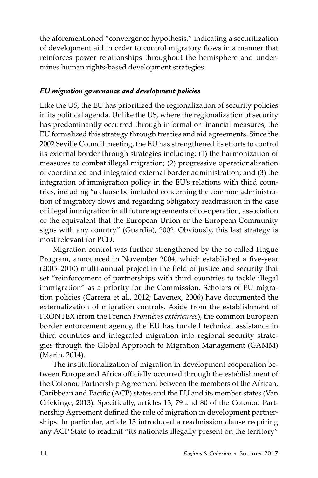the aforementioned "convergence hypothesis," indicating a securitization of development aid in order to control migratory flows in a manner that reinforces power relationships throughout the hemisphere and undermines human rights-based development strategies.

#### *EU migration governance and development policies*

Like the US, the EU has prioritized the regionalization of security policies in its political agenda. Unlike the US, where the regionalization of security has predominantly occurred through informal or financial measures, the EU formalized this strategy through treaties and aid agreements. Since the 2002 Seville Council meeting, the EU has strengthened its efforts to control its external border through strategies including: (1) the harmonization of measures to combat illegal migration; (2) progressive operationalization of coordinated and integrated external border administration; and (3) the integration of immigration policy in the EU's relations with third countries, including "a clause be included concerning the common administration of migratory flows and regarding obligatory readmission in the case of illegal immigration in all future agreements of co-operation, association or the equivalent that the European Union or the European Community signs with any country" (Guardia), 2002. Obviously, this last strategy is most relevant for PCD.

Migration control was further strengthened by the so-called Hague Program, announced in November 2004, which established a five-year  $(2005-2010)$  multi-annual project in the field of justice and security that set "reinforcement of partnerships with third countries to tackle illegal immigration" as a priority for the Commission. Scholars of EU migration policies (Carrera et al., 2012; Lavenex, 2006) have documented the externalization of migration controls. Aside from the establishment of FRONTEX (from the French *Frontières extérieures*), the common European border enforcement agency, the EU has funded technical assistance in third countries and integrated migration into regional security strategies through the Global Approach to Migration Management (GAMM) (Marin, 2014).

The institutionalization of migration in development cooperation between Europe and Africa officially occurred through the establishment of the Cotonou Partnership Agreement between the members of the African, Caribbean and Pacific (ACP) states and the EU and its member states (Van Criekinge, 2013). Specifically, articles 13, 79 and 80 of the Cotonou Partnership Agreement defined the role of migration in development partnerships. In particular, article 13 introduced a readmission clause requiring any ACP State to readmit "its nationals illegally present on the territory"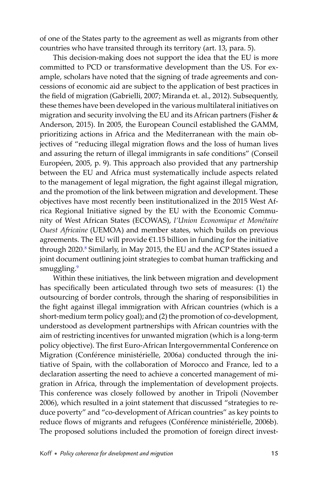of one of the States party to the agreement as well as migrants from other countries who have transited through its territory (art. 13, para. 5).

This decision-making does not support the idea that the EU is more committed to PCD or transformative development than the US. For example, scholars have noted that the signing of trade agreements and concessions of economic aid are subject to the application of best practices in the field of migration (Gabrielli, 2007; Miranda et. al., 2012). Subsequently, these themes have been developed in the various multilateral initiatives on migration and security involving the EU and its African partners (Fisher & Anderson, 2015). In 2005, the European Council established the GAMM, prioritizing actions in Africa and the Mediterranean with the main objectives of "reducing illegal migration flows and the loss of human lives and assuring the return of illegal immigrants in safe conditions" (Conseil Européen, 2005, p. 9). This approach also provided that any partnership between the EU and Africa must systematically include aspects related to the management of legal migration, the fight against illegal migration, and the promotion of the link between migration and development. These objectives have most recently been institutionalized in the 2015 West Africa Regional Initiative signed by the EU with the Economic Community of West African States (ECOWAS), *l'Union Economique et Monétaire Ouest Africaine* (UEMOA) and member states, which builds on previous agreements. The EU will provide  $\epsilon$ 1.15 billion in funding for the initiative through 2020.<sup>8</sup> Similarly, in May 2015, the EU and the ACP States issued a joint document outlining joint strategies to combat human trafficking and smuggling.<sup>[9](#page-20-0)</sup>

Within these initiatives, the link between migration and development has specifically been articulated through two sets of measures: (1) the outsourcing of border controls, through the sharing of responsibilities in the fight against illegal immigration with African countries (which is a short-medium term policy goal); and (2) the promotion of co-development, understood as development partnerships with African countries with the aim of restricting incentives for unwanted migration (which is a long-term policy objective). The first Euro-African Intergovernmental Conference on Migration (Conférence ministérielle, 2006a) conducted through the initiative of Spain, with the collaboration of Morocco and France, led to a declaration asserting the need to achieve a concerted management of migration in Africa, through the implementation of development projects. This conference was closely followed by another in Tripoli (November 2006), which resulted in a joint statement that discussed "strategies to reduce poverty" and "co-development of African countries" as key points to reduce flows of migrants and refugees (Conférence ministérielle, 2006b). The proposed solutions included the promotion of foreign direct invest-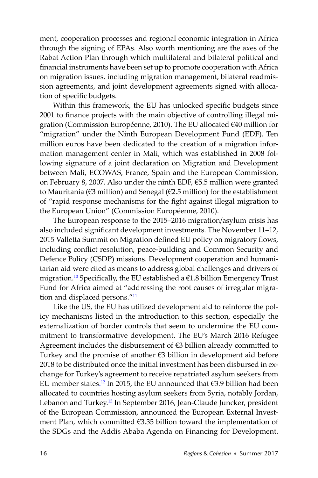ment, cooperation processes and regional economic integration in Africa through the signing of EPAs. Also worth mentioning are the axes of the Rabat Action Plan through which multilateral and bilateral political and financial instruments have been set up to promote cooperation with Africa on migration issues, including migration management, bilateral readmission agreements, and joint development agreements signed with allocation of specific budgets.

Within this framework, the EU has unlocked specific budgets since 2001 to finance projects with the main objective of controlling illegal migration (Commission Européenne, 2010). The EU allocated €40 million for "migration" under the Ninth European Development Fund (EDF). Ten million euros have been dedicated to the creation of a migration information management center in Mali, which was established in 2008 following signature of a joint declaration on Migration and Development between Mali, ECOWAS, France, Spain and the European Commission, on February 8, 2007. Also under the ninth EDF, €5.5 million were granted to Mauritania (€3 million) and Senegal (€2.5 million) for the establishment of "rapid response mechanisms for the fight against illegal migration to the European Union" (Commission Européenne, 2010).

The European response to the 2015–2016 migration/asylum crisis has also included significant development investments. The November 11-12, 2015 Valletta Summit on Migration defined EU policy on migratory flows, including conflict resolution, peace-building and Common Security and Defence Policy (CSDP) missions. Development cooperation and humanitarian aid were cited as means to address global challenges and drivers of migration.<sup>[10](#page-20-0)</sup> Specifically, the EU established a  $\epsilon$ 1.8 billion Emergency Trust Fund for Africa aimed at "addressing the root causes of irregular migra-tion and displaced persons."<sup>[11](#page-20-0)</sup>

Like the US, the EU has utilized development aid to reinforce the policy mechanisms listed in the introduction to this section, especially the externalization of border controls that seem to undermine the EU commitment to transformative development. The EU's March 2016 Refugee Agreement includes the disbursement of  $\epsilon$ 3 billion already committed to Turkey and the promise of another €3 billion in development aid before 2018 to be distributed once the initial investment has been disbursed in exchange for Turkey's agreement to receive repatriated asylum seekers from EU member states.<sup>[12](#page-21-0)</sup> In 2015, the EU announced that €3.9 billion had been allocated to countries hosting asylum seekers from Syria, notably Jordan, Lebanon and Turkey.<sup>13</sup> In September 2016, Jean-Claude Juncker, president of the European Commission, announced the European External Investment Plan, which committed  $63.35$  billion toward the implementation of the SDGs and the Addis Ababa Agenda on Financing for Development.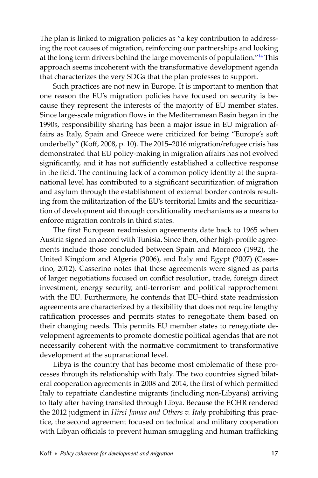The plan is linked to migration policies as "a key contribution to addressing the root causes of migration, reinforcing our partnerships and looking at the long term drivers behind the large movements of population.["14](#page-21-0) This approach seems incoherent with the transformative development agenda that characterizes the very SDGs that the plan professes to support.

Such practices are not new in Europe. It is important to mention that one reason the EU's migration policies have focused on security is because they represent the interests of the majority of EU member states. Since large-scale migration flows in the Mediterranean Basin began in the 1990s, responsibility sharing has been a major issue in EU migration affairs as Italy, Spain and Greece were criticized for being "Europe's soft underbelly" (Koff, 2008, p. 10). The 2015–2016 migration/refugee crisis has demonstrated that EU policy-making in migration affairs has not evolved significantly, and it has not sufficiently established a collective response in the field. The continuing lack of a common policy identity at the supranational level has contributed to a significant securitization of migration and asylum through the establishment of external border controls resulting from the militarization of the EU's territorial limits and the securitization of development aid through conditionality mechanisms as a means to enforce migration controls in third states.

The first European readmission agreements date back to 1965 when Austria signed an accord with Tunisia. Since then, other high-profile agreements include those concluded between Spain and Morocco (1992), the United Kingdom and Algeria (2006), and Italy and Egypt (2007) (Casserino, 2012). Casserino notes that these agreements were signed as parts of larger negotiations focused on conflict resolution, trade, foreign direct investment, energy security, anti-terrorism and political rapprochement with the EU. Furthermore, he contends that EU–third state readmission agreements are characterized by a flexibility that does not require lengthy ratification processes and permits states to renegotiate them based on their changing needs. This permits EU member states to renegotiate development agreements to promote domestic political agendas that are not necessarily coherent with the normative commitment to transformative development at the supranational level.

Libya is the country that has become most emblematic of these processes through its relationship with Italy. The two countries signed bilateral cooperation agreements in 2008 and 2014, the first of which permitted Italy to repatriate clandestine migrants (including non-Libyans) arriving to Italy after having transited through Libya. Because the ECHR rendered the 2012 judgment in *Hirsi Jamaa and Others v. Italy* prohibiting this practice, the second agreement focused on technical and military cooperation with Libyan officials to prevent human smuggling and human trafficking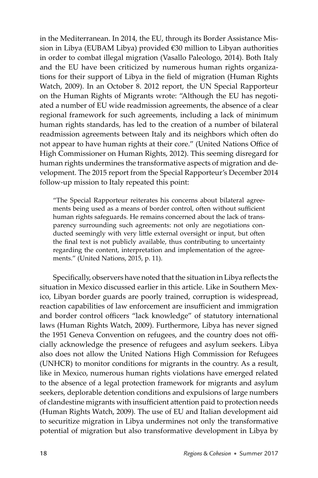in the Mediterranean. In 2014, the EU, through its Border Assistance Mission in Libya (EUBAM Libya) provided €30 million to Libyan authorities in order to combat illegal migration (Vasallo Paleologo, 2014). Both Italy and the EU have been criticized by numerous human rights organizations for their support of Libya in the field of migration (Human Rights Watch, 2009). In an October 8. 2012 report, the UN Special Rapporteur on the Human Rights of Migrants wrote: "Although the EU has negotiated a number of EU wide readmission agreements, the absence of a clear regional framework for such agreements, including a lack of minimum human rights standards, has led to the creation of a number of bilateral readmission agreements between Italy and its neighbors which often do not appear to have human rights at their core." (United Nations Office of High Commissioner on Human Rights, 2012). This seeming disregard for human rights undermines the transformative aspects of migration and development. The 2015 report from the Special Rapporteur's December 2014 follow-up mission to Italy repeated this point:

"The Special Rapporteur reiterates his concerns about bilateral agreements being used as a means of border control, often without sufficient human rights safeguards. He remains concerned about the lack of transparency surrounding such agreements: not only are negotiations conducted seemingly with very little external oversight or input, but often the final text is not publicly available, thus contributing to uncertainty regarding the content, interpretation and implementation of the agreements." (United Nations, 2015, p. 11).

Specifically, observers have noted that the situation in Libya reflects the situation in Mexico discussed earlier in this article. Like in Southern Mexico, Libyan border guards are poorly trained, corruption is widespread, reaction capabilities of law enforcement are insufficient and immigration and border control officers "lack knowledge" of statutory international laws (Human Rights Watch, 2009). Furthermore, Libya has never signed the 1951 Geneva Convention on refugees, and the country does not officially acknowledge the presence of refugees and asylum seekers. Libya also does not allow the United Nations High Commission for Refugees (UNHCR) to monitor conditions for migrants in the country. As a result, like in Mexico, numerous human rights violations have emerged related to the absence of a legal protection framework for migrants and asylum seekers, deplorable detention conditions and expulsions of large numbers of clandestine migrants with insufficient attention paid to protection needs (Human Rights Watch, 2009). The use of EU and Italian development aid to securitize migration in Libya undermines not only the transformative potential of migration but also transformative development in Libya by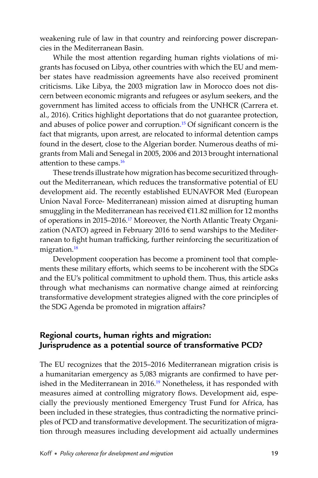weakening rule of law in that country and reinforcing power discrepancies in the Mediterranean Basin.

While the most attention regarding human rights violations of migrants has focused on Libya, other countries with which the EU and member states have readmission agreements have also received prominent criticisms. Like Libya, the 2003 migration law in Morocco does not discern between economic migrants and refugees or asylum seekers, and the government has limited access to officials from the UNHCR (Carrera et. al., 2016). Critics highlight deportations that do not guarantee protection, and abuses of police power and corruption.<sup>[15](#page-21-0)</sup> Of significant concern is the fact that migrants, upon arrest, are relocated to informal detention camps found in the desert, close to the Algerian border. Numerous deaths of migrants from Mali and Senegal in 2005, 2006 and 2013 brought international attention to these camps. $16$ 

These trends illustrate how migration has become securitized throughout the Mediterranean, which reduces the transformative potential of EU development aid. The recently established EUNAVFOR Med (European Union Naval Force- Mediterranean) mission aimed at disrupting human smuggling in the Mediterranean has received €11.82 million for 12 months of operations in 2015–2016[.17](#page-21-0) Moreover, the North Atlantic Treaty Organization (NATO) agreed in February 2016 to send warships to the Mediterranean to fight human trafficking, further reinforcing the securitization of migration.<sup>18</sup>

Development cooperation has become a prominent tool that complements these military efforts, which seems to be incoherent with the SDGs and the EU's political commitment to uphold them. Thus, this article asks through what mechanisms can normative change aimed at reinforcing transformative development strategies aligned with the core principles of the SDG Agenda be promoted in migration affairs?

# **Regional courts, human rights and migration: Jurisprudence as a potential source of transformative PCD?**

The EU recognizes that the 2015–2016 Mediterranean migration crisis is a humanitarian emergency as 5,083 migrants are confirmed to have per-ished in the Mediterranean in 2016.<sup>[19](#page-21-0)</sup> Nonetheless, it has responded with measures aimed at controlling migratory flows. Development aid, especially the previously mentioned Emergency Trust Fund for Africa, has been included in these strategies, thus contradicting the normative principles of PCD and transformative development. The securitization of migration through measures including development aid actually undermines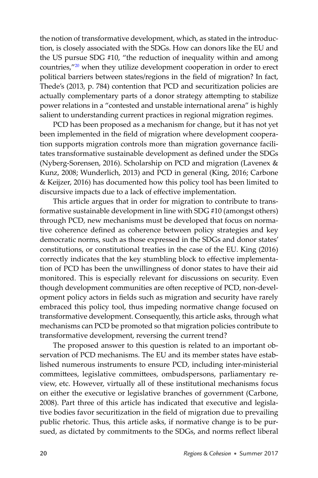the notion of transformative development, which, as stated in the introduction, is closely associated with the SDGs. How can donors like the EU and the US pursue SDG #10, "the reduction of inequality within and among countries,["20](#page-21-0) when they utilize development cooperation in order to erect political barriers between states/regions in the field of migration? In fact, Thede's (2013, p. 784) contention that PCD and securitization policies are actually complementary parts of a donor strategy attempting to stabilize power relations in a "contested and unstable international arena" is highly salient to understanding current practices in regional migration regimes.

PCD has been proposed as a mechanism for change, but it has not yet been implemented in the field of migration where development cooperation supports migration controls more than migration governance facilitates transformative sustainable development as defined under the SDGs (Nyberg-Sorensen, 2016). Scholarship on PCD and migration (Lavenex & Kunz, 2008; Wunderlich, 2013) and PCD in general (King, 2016; Carbone & Keijzer, 2016) has documented how this policy tool has been limited to discursive impacts due to a lack of effective implementation.

This article argues that in order for migration to contribute to transformative sustainable development in line with SDG #10 (amongst others) through PCD, new mechanisms must be developed that focus on normative coherence defined as coherence between policy strategies and key democratic norms, such as those expressed in the SDGs and donor states' constitutions, or constitutional treaties in the case of the EU. King (2016) correctly indicates that the key stumbling block to effective implementation of PCD has been the unwillingness of donor states to have their aid monitored. This is especially relevant for discussions on security. Even though development communities are often receptive of PCD, non-development policy actors in fields such as migration and security have rarely embraced this policy tool, thus impeding normative change focused on transformative development. Consequently, this article asks, through what mechanisms can PCD be promoted so that migration policies contribute to transformative development, reversing the current trend?

The proposed answer to this question is related to an important observation of PCD mechanisms. The EU and its member states have established numerous instruments to ensure PCD, including inter-ministerial committees, legislative committees, ombudspersons, parliamentary review, etc. However, virtually all of these institutional mechanisms focus on either the executive or legislative branches of government (Carbone, 2008). Part three of this article has indicated that executive and legislative bodies favor securitization in the field of migration due to prevailing public rhetoric. Thus, this article asks, if normative change is to be pursued, as dictated by commitments to the SDGs, and norms reflect liberal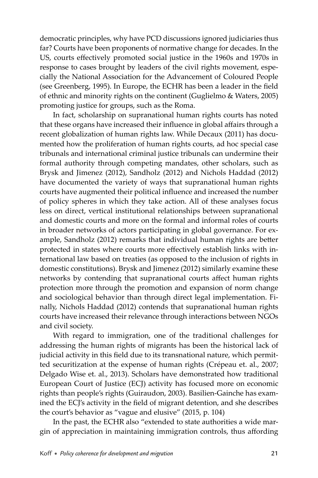democratic principles, why have PCD discussions ignored judiciaries thus far? Courts have been proponents of normative change for decades. In the US, courts effectively promoted social justice in the 1960s and 1970s in response to cases brought by leaders of the civil rights movement, especially the National Association for the Advancement of Coloured People (see Greenberg, 1995). In Europe, the ECHR has been a leader in the field of ethnic and minority rights on the continent (Guglielmo & Waters, 2005) promoting justice for groups, such as the Roma.

In fact, scholarship on supranational human rights courts has noted that these organs have increased their influence in global affairs through a recent globalization of human rights law. While Decaux (2011) has documented how the proliferation of human rights courts, ad hoc special case tribunals and international criminal justice tribunals can undermine their formal authority through competing mandates, other scholars, such as Brysk and Jimenez (2012), Sandholz (2012) and Nichols Haddad (2012) have documented the variety of ways that supranational human rights courts have augmented their political influence and increased the number of policy spheres in which they take action. All of these analyses focus less on direct, vertical institutional relationships between supranational and domestic courts and more on the formal and informal roles of courts in broader networks of actors participating in global governance. For example, Sandholz (2012) remarks that individual human rights are better protected in states where courts more effectively establish links with international law based on treaties (as opposed to the inclusion of rights in domestic constitutions). Brysk and Jimenez (2012) similarly examine these networks by contending that supranational courts affect human rights protection more through the promotion and expansion of norm change and sociological behavior than through direct legal implementation. Finally, Nichols Haddad (2012) contends that supranational human rights courts have increased their relevance through interactions between NGOs and civil society.

With regard to immigration, one of the traditional challenges for addressing the human rights of migrants has been the historical lack of judicial activity in this field due to its transnational nature, which permitted securitization at the expense of human rights (Crépeau et. al., 2007; Delgado Wise et. al., 2013). Scholars have demonstrated how traditional European Court of Justice (ECJ) activity has focused more on economic rights than people's rights (Guiraudon, 2003). Basilien-Gainche has examined the ECJ's activity in the field of migrant detention, and she describes the court's behavior as "vague and elusive" (2015, p. 104)

In the past, the ECHR also "extended to state authorities a wide margin of appreciation in maintaining immigration controls, thus affording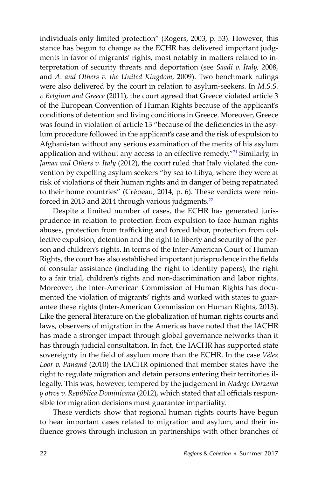individuals only limited protection" (Rogers, 2003, p. 53). However, this stance has begun to change as the ECHR has delivered important judgments in favor of migrants' rights, most notably in matters related to interpretation of security threats and deportation (see *Saadi v. Italy,* 2008, and *A. and Others v. the United Kingdom,* 2009). Two benchmark rulings were also delivered by the court in relation to asylum-seekers. In *M.S.S. v Belgium and Greece* (2011), the court agreed that Greece violated article 3 of the European Convention of Human Rights because of the applicant's conditions of detention and living conditions in Greece. Moreover, Greece was found in violation of article 13 "because of the deficiencies in the asylum procedure followed in the applicant's case and the risk of expulsion to Afghanistan without any serious examination of the merits of his asylum application and without any access to an effective remedy."<sup>[21](#page-21-0)</sup> Similarly, in *Jamaa and Others v. Italy* (2012), the court ruled that Italy violated the convention by expelling asylum seekers "by sea to Libya, where they were at risk of violations of their human rights and in danger of being repatriated to their home countries" (Crépeau, 2014, p. 6). These verdicts were reinforced in 2013 and 2014 through various judgments.<sup>22</sup>

Despite a limited number of cases, the ECHR has generated jurisprudence in relation to protection from expulsion to face human rights abuses, protection from trafficking and forced labor, protection from collective expulsion, detention and the right to liberty and security of the person and children's rights. In terms of the Inter-American Court of Human Rights, the court has also established important jurisprudence in the fields of consular assistance (including the right to identity papers), the right to a fair trial, children's rights and non-discrimination and labor rights. Moreover, the Inter-American Commission of Human Rights has documented the violation of migrants' rights and worked with states to guarantee these rights (Inter-American Commission on Human Rights, 2013). Like the general literature on the globalization of human rights courts and laws, observers of migration in the Americas have noted that the IACHR has made a stronger impact through global governance networks than it has through judicial consultation. In fact, the IACHR has supported state sovereignty in the field of asylum more than the ECHR. In the case *Vélez Loor v. Panamá* (2010) the IACHR opinioned that member states have the right to regulate migration and detain persons entering their territories illegally. This was, however, tempered by the judgement in *Nadege Dorzema y* otros v. República Dominicana (2012), which stated that all officials responsible for migration decisions must guarantee impartiality.

These verdicts show that regional human rights courts have begun to hear important cases related to migration and asylum, and their influence grows through inclusion in partnerships with other branches of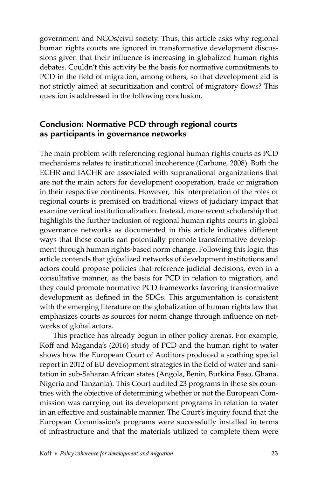government and NGOs/civil society. Thus, this article asks why regional human rights courts are ignored in transformative development discussions given that their influence is increasing in globalized human rights debates. Couldn't this activity be the basis for normative commitments to PCD in the field of migration, among others, so that development aid is not strictly aimed at securitization and control of migratory flows? This question is addressed in the following conclusion.

# **Conclusion: Normative PCD through regional courts as participants in governance networks**

The main problem with referencing regional human rights courts as PCD mechanisms relates to institutional incoherence (Carbone, 2008). Both the ECHR and IACHR are associated with supranational organizations that are not the main actors for development cooperation, trade or migration in their respective continents. However, this interpretation of the roles of regional courts is premised on traditional views of judiciary impact that examine vertical institutionalization. Instead, more recent scholarship that highlights the further inclusion of regional human rights courts in global governance networks as documented in this article indicates different ways that these courts can potentially promote transformative development through human rights-based norm change. Following this logic, this article contends that globalized networks of development institutions and actors could propose policies that reference judicial decisions, even in a consultative manner, as the basis for PCD in relation to migration, and they could promote normative PCD frameworks favoring transformative development as defined in the SDGs. This argumentation is consistent with the emerging literature on the globalization of human rights law that emphasizes courts as sources for norm change through influence on networks of global actors.

This practice has already begun in other policy arenas. For example, Koff and Maganda's (2016) study of PCD and the human right to water shows how the European Court of Auditors produced a scathing special report in 2012 of EU development strategies in the field of water and sanitation in sub-Saharan African states (Angola, Benin, Burkina Faso, Ghana, Nigeria and Tanzania). This Court audited 23 programs in these six countries with the objective of determining whether or not the European Commission was carrying out its development programs in relation to water in an effective and sustainable manner. The Court's inquiry found that the European Commission's programs were successfully installed in terms of infrastructure and that the materials utilized to complete them were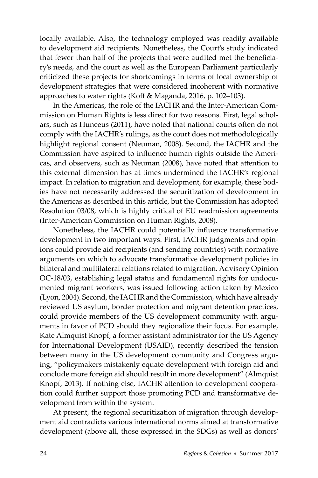locally available. Also, the technology employed was readily available to development aid recipients. Nonetheless, the Court's study indicated that fewer than half of the projects that were audited met the beneficiary's needs, and the court as well as the European Parliament particularly criticized these projects for shortcomings in terms of local ownership of development strategies that were considered incoherent with normative approaches to water rights (Koff & Maganda, 2016, p. 102–103).

In the Americas, the role of the IACHR and the Inter-American Commission on Human Rights is less direct for two reasons. First, legal scholars, such as Huneeus (2011), have noted that national courts often do not comply with the IACHR's rulings, as the court does not methodologically highlight regional consent (Neuman, 2008). Second, the IACHR and the Commission have aspired to influence human rights outside the Americas, and observers, such as Neuman (2008), have noted that attention to this external dimension has at times undermined the IACHR's regional impact. In relation to migration and development, for example, these bodies have not necessarily addressed the securitization of development in the Americas as described in this article, but the Commission has adopted Resolution 03/08, which is highly critical of EU readmission agreements (Inter-American Commission on Human Rights, 2008).

Nonetheless, the IACHR could potentially influence transformative development in two important ways. First, IACHR judgments and opinions could provide aid recipients (and sending countries) with normative arguments on which to advocate transformative development policies in bilateral and multilateral relations related to migration. Advisory Opinion OC-18/03, establishing legal status and fundamental rights for undocumented migrant workers, was issued following action taken by Mexico (Lyon, 2004). Second, the IACHR and the Commission, which have already reviewed US asylum, border protection and migrant detention practices, could provide members of the US development community with arguments in favor of PCD should they regionalize their focus. For example, Kate Almquist Knopf, a former assistant administrator for the US Agency for International Development (USAID), recently described the tension between many in the US development community and Congress arguing, "policymakers mistakenly equate development with foreign aid and conclude more foreign aid should result in more development" (Almquist Knopf, 2013). If nothing else, IACHR attention to development cooperation could further support those promoting PCD and transformative development from within the system.

At present, the regional securitization of migration through development aid contradicts various international norms aimed at transformative development (above all, those expressed in the SDGs) as well as donors'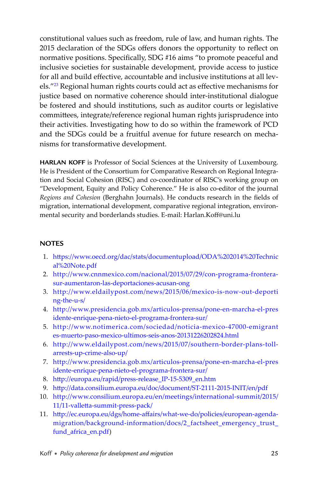<span id="page-20-0"></span>constitutional values such as freedom, rule of law, and human rights. The 2015 declaration of the SDGs offers donors the opportunity to reflect on normative positions. Specifically, SDG #16 aims "to promote peaceful and inclusive societies for sustainable development, provide access to justice for all and build effective, accountable and inclusive institutions at all levels."<sup>23</sup> Regional human rights courts could act as effective mechanisms for justice based on normative coherence should inter-institutional dialogue be fostered and should institutions, such as auditor courts or legislative committees, integrate/reference regional human rights jurisprudence into their activities. Investigating how to do so within the framework of PCD and the SDGs could be a fruitful avenue for future research on mechanisms for transformative development.

**HARLAN KOFF** is Professor of Social Sciences at the University of Luxembourg. He is President of the Consortium for Comparative Research on Regional Integration and Social Cohesion (RISC) and co-coordinator of RISC's working group on "Development, Equity and Policy Coherence." He is also co-editor of the journal Regions and Cohesion (Berghahn Journals). He conducts research in the fields of migration, international development, comparative regional integration, environmental security and borderlands studies. E-mail: Harlan.Koff@uni.lu

#### **NOTES**

- 1. https://www.oecd.org/dac/stats/documentupload/ODA%202014%20Technic [al%20Note.pdf](http://www.oecd.org/dac/stats/documentupload/ODA%202014%20Technical%20Note.pdf)
- 2. [http://www.cnnmexico.com/nacional/2015/07/29/con-programa-frontera](http://www.cnnmexico.com/nacional/2015/07/29/con-programa-frontera-sur-aumentaron-las-deportaciones-acusan-ong)[sur-aumentaron-las-deportaciones-acusan-ong](http://www.cnnmexico.com/nacional/2015/07/29/con-programa-frontera-sur-aumentaron-las-deportaciones-acusan-ong)
- 3. [http://www.eldailypost.com/news/2015/06/mexico-is-now-out-deporti](http://www.eldailypost.com/news/2015/06/mexico-is-now-out-deporting-the-u-s/) [ng-the-u-s/](http://www.eldailypost.com/news/2015/06/mexico-is-now-out-deporting-the-u-s/)
- 4. [http://www.presidencia.gob.mx/articulos-prensa/pone-en-marcha-el-pres](http://www.presidencia.gob.mx/articulos-prensa/pone-en-marcha-el-presidente-enrique-pene-nieto-el-programe-frontera-sur/) [idente-enrique-pena-nieto-el-programa-frontera-sur/](http://www.presidencia.gob.mx/articulos-prensa/pone-en-marcha-el-presidente-enrique-pene-nieto-el-programe-frontera-sur/)
- 5. [http://www.notimerica.com/sociedad/noticia-mexico-47000-emigrant](http://www.notimerica.com/sociedad/noticia-mexico-47000-emigrantes-muerto-paso-mexico-ultimos-seis-anos-20131226202824.html) [es-muerto-paso-mexico-ultimos-seis-anos-20131226202824.html](http://www.notimerica.com/sociedad/noticia-mexico-47000-emigrantes-muerto-paso-mexico-ultimos-seis-anos-20131226202824.html)
- 6. [http://www.eldailypost.com/news/2015/07/southern-border-plans-toll](http://www.eldailypost.com/news/2015/07/southern-border-plans-toll-arrests-up-crime-also-up)[arrests-up-crime-also-up/](http://www.eldailypost.com/news/2015/07/southern-border-plans-toll-arrests-up-crime-also-up)
- 7. [http://www.presidencia.gob.mx/articulos-prensa/pone-en-marcha-el-pres](http://www.presidencia.gob.mx/articulos-prensa/pone-en-marcha-el-presidente-enrique-pena-nieto-el-programa-frontera-sur/) [idente-enrique-pena-nieto-el-programa-frontera-sur/](http://www.presidencia.gob.mx/articulos-prensa/pone-en-marcha-el-presidente-enrique-pena-nieto-el-programa-frontera-sur/)
- 8. http://europa.eu/rapid/press-release\_IP-15-5309\_en.htm
- 9. http://data.consilium.europa.eu/doc/document/ST-2111-2015-INIT/en/pdf
- 10. [http://www.consilium.europa.eu/en/meetings/international-summit/2015/](http://www.consilium.europa.eu/en/meetings/international-summit/2015-11/11-vallett a-summit-press-pack/) 11/11-valletta-summit-press-pack/
- 11. http://ec.europa.eu/dgs/home-affairs/what-we-do/policies/european-agenda[migration/background-information/docs/2\\_factsheet\\_emergency\\_trust\\_](http://ec.europa.eu/dgs/home-aff airs/what-we-do/policies/european-agendamigration/background-information/docs/2_factsheet_emergency_trust_fund_africa_en.pdf)) [fund\\_africa\\_en.pdf](http://ec.europa.eu/dgs/home-aff airs/what-we-do/policies/european-agendamigration/background-information/docs/2_factsheet_emergency_trust_fund_africa_en.pdf)))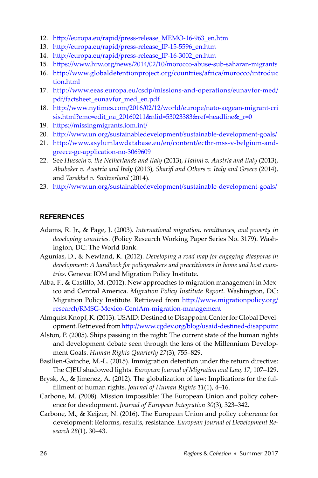- <span id="page-21-0"></span>12. http://europa.eu/rapid/press-release MEMO-16-963 en.htm
- 13. http://europa.eu/rapid/press-release\_IP-15-5596\_en.htm
- 14. http://europa.eu/rapid/press-release\_IP-16-3002\_en.htm
- 15. https://www.hrw.org/news/2014/02/10/morocco-abuse-sub-saharan-migrants
- 16. <http://www.globaldetentionproject.org/countries/africa/morocco/introduc> [tion.html](http://www.globaldetentionproject.org/countries/africa/morocco/introduc)
- 17. [http://www.eeas.europa.eu/csdp/missions-and-operations/eunavfor-med/](http://www.eeas.europa.eu/csdp/missions-and-operations/eunavfor-med/pdf/factsheet_eunavfor_med_en.pdf) [pdf/factsheet\\_eunavfor\\_med\\_en.pdf](http://www.eeas.europa.eu/csdp/missions-and-operations/eunavfor-med/pdf/factsheet_eunavfor_med_en.pdf)
- 18. http://www.nytimes.com/2016/02/12/world/europe/nato-aegean-migrant-cri [sis.html?emc=edit\\_na\\_20160211&nlid=53023383&ref=headline&\\_r=0](http://www.nytimes.com/2016/02/12/world/europe/nato-aegean-migrant-crisis.html?emc=edit_na_20160211&nlid=53023383&ref=headline&_r=0)
- 19. https://missingmigrants.iom.int/
- 20. http://www.un.org/sustainabledevelopment/sustainable-development-goals/
- 21. [http://www.asylumlawdatabase.eu/en/content/ecthr-mss-v-belgium-and](http://www.asylumlawdatabase.eu/en/content/ecthr-mss-v-belgium-and-greece-gc-application-no-3069609)[greece-gc-application-no-3069609](http://www.asylumlawdatabase.eu/en/content/ecthr-mss-v-belgium-and-greece-gc-application-no-3069609)
- 22. See *Hussein v. the Netherlands and Italy* (2013), *Halimi v. Austria and Italy* (2013), *Abubeker v. Austria and Italy* (2013)*, Sharifi and Others v. Italy and Greece* (2014), and *Tarakhel v. Switzerland* (2014).
- 23. http://www.un.org/sustainabledevelopment/sustainable-development-goals/

#### **REFERENCES**

- Adams, R. Jr., & Page, J. (2003). *International migration, remittances, and poverty in developing countries.* (Policy Research Working Paper Series No. 3179). Washington, DC: The World Bank.
- Agunias, D., & Newland, K. (2012). *Developing a road map for engaging diasporas in development: A handbook for policymakers and practitioners in home and host countries.* Geneva: IOM and Migration Policy Institute.
- Alba, F., & Castillo, M. (2012). New approaches to migration management in Mexico and Central America. *Migration Policy Institute Report.* Washington, DC: Migration Policy Institute. Retrieved from http://www.migrationpolicy.org/ [research/RMSG-Mexico-CentAm-migration-management](http://www.migrationpolicy.org/research/RMSG-Mexico-CentAm-migration-management)
- Almquist Knopf, K. (2013). USAID: Destined to Disappoint.Center for Global Development. Retrieved from http://www.cgdev.org/blog/usaid-destined-disappoint
- Alston, P. (2005). Ships passing in the night: The current state of the human rights and development debate seen through the lens of the Millennium Development Goals. *Human Rights Quarterly 27*(3), 755–829.
- Basilien-Gainche, M.-L. (2015). Immigration detention under the return directive: The CJEU shadowed lights. *European Journal of Migration and Law, 17,* 107–129.
- Brysk, A., & Jimenez, A. (2012). The globalization of law: Implications for the fulfi llment of human rights. *Journal of Human Rights 11*(1), 4–16.
- Carbone, M. (2008). Mission impossible: The European Union and policy coherence for development. *Journal of European Integration 30*(3), 323–342.
- Carbone, M., & Keijzer, N. (2016). The European Union and policy coherence for development: Reforms, results, resistance. *European Journal of Development Research 28*(1), 30–43.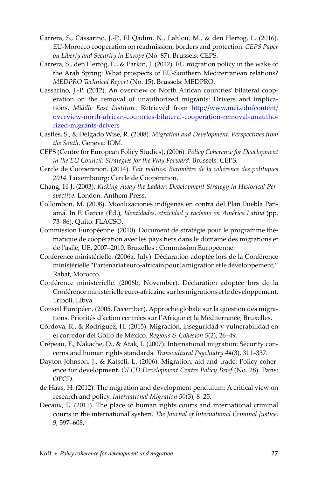- Carrera, S., Cassarino, J.-P., El Qadim, N., Lahlou, M., & den Hertog, L. (2016). EU-Morocco cooperation on readmission, borders and protection. *CEPS Paper on Liberty and Security in Europe* (No. 87). Brussels: CEPS.
- Carrera, S., den Hertog, L., & Parkin, J. (2012). EU migration policy in the wake of the Arab Spring: What prospects of EU-Southern Mediterranean relations? *MEDPRO Technical Report* (No. 15). Brussels: MEDPRO.
- Cassarino, J.-P. (2012). An overview of North African countries' bilateral cooperation on the removal of unauthorized migrants: Drivers and implications. *Middle East Institute*. Retrieved from http://www.mei.edu/content/ [overview-north-african-countries-bilateral-cooperation-removal-unautho](http://www.mei.edu/content/overview-north-african-countries-bilateral-cooperation-removal-unauthorized-migrants-drivers)[rized-migrants-drivers](http://www.mei.edu/content/overview-north-african-countries-bilateral-cooperation-removal-unauthorized-migrants-drivers)
- Castles, S., & Delgado Wise, R. (2008). *Migration and Development: Perspectives from the South.* Geneva: IOM.
- CEPS (Centre for European Policy Studies). (2006). *Policy Coherence for Development in the EU Council: Strategies for the Way Forward.* Brussels: CEPS.
- Cercle de Cooperation. (2014). *Fair politics: Baromètre de la cohérence des politiques 2014.* Luxembourg: Cercle de Coopération.
- Chang, H-J. (2003). *Kicking Away the Ladder: Development Strategy in Historical Perspective.* London: Anthem Press.
- Collombon, M. (2008). Movilizaciones indígenas en contra del Plan Puebla Panamá. In F. Garcia (Ed.), *Identidades, etnicidad y racismo en América Latina* (pp. 73–86). Quito: FLACSO.
- Commission Européenne. (2010). Document de stratégie pour le programme thématique de coopération avec les pays tiers dans le domaine des migrations et de l'asile, UE, 2007–2010. Bruxelles : Commission Européenne.
- Conférence ministérielle. (2006a, July). Déclaration adoptée lors de la Conférence ministérielle "Partenariat euro-africain pour la migration et le développement," Rabat, Morocco.
- Conférence ministérielle. (2006b, November). Déclaration adoptée lors de la Conférence ministérielle euro-africaine sur les migrations et le développement, Tripoli, Libya.
- Conseil Européen. (2005, December). Approche globale sur la question des migrations. Priorités d'action centrées sur l'Afrique et la Méditerranée, Bruxelles.
- Córdova, R., & Rodríguez, H. (2015). Migración, inseguridad y vulnerabilidad en el corredor del Golfo de Mexico. *Regions & Cohesion 5*(2), 26–49.
- Crépeau, F., Nakache, D., & Atak, I. (2007). International migration: Security concerns and human rights standards. *Transcultural Psychiatry 44*(3), 311–337.
- Dayton-Johnson, J., & Katseli, L. (2006). Migration, aid and trade: Policy coherence for development. *OECD Development Centre Policy Brief* (No. 28). Paris: OECD.
- de Haas, H. (2012). The migration and development pendulum: A critical view on research and policy. *International Migration 50*(3), 8–25.
- Decaux, E. (2011). The place of human rights courts and international criminal courts in the international system. *The Journal of International Criminal Justice, 9,* 597–608.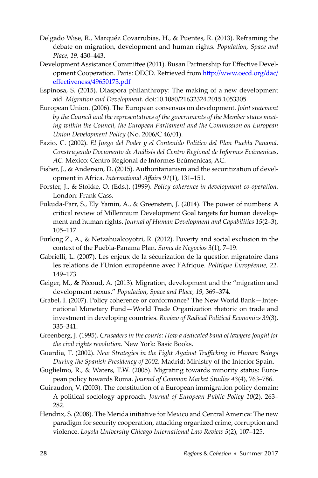- Delgado Wise, R., Marquéz Covarrubias, H., & Puentes, R. (2013). Reframing the debate on migration, development and human rights. *Population, Space and Place, 19,* 430–443.
- Development Assistance Committee (2011). Busan Partnership for Effective Development Cooperation. Paris: OECD. Retrieved from http://www.oecd.org/dac/ effectiveness/49650173.pdf
- Espinosa, S. (2015). Diaspora philanthropy: The making of a new development aid. *Migration and Development.* doi:10.1080/21632324.2015.1053305.
- European Union. (2006). The European consensus on development. *Joint statement by the Council and the representatives of the governments of the Member states meeting within the Council, the European Parliament and the Commission on European Union Development Policy* (No. 2006/C 46/01).
- Fazio, C. (2002). *El Juego del Poder y el Contenido Político del Plan Puebla Panamá. Construyendo Documento de Análisis del Centro Regional de Informes Ecúmenicas*, *AC.* Mexico: Centro Regional de Informes Ecúmenicas, AC.
- Fisher, J., & Anderson, D. (2015). Authoritarianism and the securitization of development in Africa. *International Affairs 91(1)*, 131-151.
- Forster, J., & Stokke, O. (Eds.). (1999). *Policy coherence in development co-operation.* London: Frank Cass.
- Fukuda-Parr, S., Ely Yamin, A., & Greenstein, J. (2014). The power of numbers: A critical review of Millennium Development Goal targets for human development and human rights. *Journal of Human Development and Capabilities 15*(2–3), 105–117.
- Furlong Z., A., & Netzahualcoyotzi, R. (2012). Poverty and social exclusion in the context of the Puebla-Panama Plan. *Suma de Negocios 3*(1), 7–19.
- Gabrielli, L. (2007). Les enjeux de la sécurization de la question migratoire dans les relations de l'Union européenne avec l'Afrique. *Politique Européenne, 22,* 149–173.
- Geiger, M., & Pécoud, A. (2013). Migration, development and the "migration and development nexus." *Population, Space and Place, 19,* 369–374.
- Grabel, I. (2007). Policy coherence or conformance? The New World Bank—International Monetary Fund—World Trade Organization rhetoric on trade and investment in developing countries. *Review of Radical Political Economics 39*(3), 335–341.
- Greenberg, J. (1995). *Crusaders in the courts: How a dedicated band of lawyers fought for the civil rights revolution.* New York: Basic Books.
- Guardia, T. (2002). *New Strategies in the Fight Against Traffi cking in Human Beings During the Spanish Presidency of 2002.* Madrid: Ministry of the Interior Spain.
- Guglielmo, R., & Waters, T.W. (2005). Migrating towards minority status: European policy towards Roma. *Journal of Common Market Studies 43*(4), 763–786.
- Guiraudon, V. (2003). The constitution of a European immigration policy domain: A political sociology approach. *Journal of European Public Policy 10*(2), 263– 282.
- Hendrix, S. (2008). The Merida initiative for Mexico and Central America: The new paradigm for security cooperation, attacking organized crime, corruption and violence. *Loyola University Chicago International Law Review 5*(2), 107–125.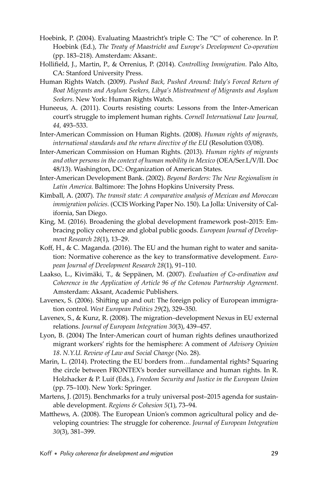- Hoebink, P. (2004). Evaluating Maastricht's triple C: The "C" of coherence. In P. Hoebink (Ed.), *The Treaty of Maastricht and Europe's Development Co-operation*  (pp. 183–218). Amsterdam: Aksant:.
- Hollifield, J., Martin, P., & Orrenius, P. (2014). *Controlling Immigration*. Palo Alto, CA: Stanford University Press.
- Human Rights Watch. (2009). *Pushed Back, Pushed Around: Italy's Forced Return of Boat Migrants and Asylum Seekers, Libya's Mistreatment of Migrants and Asylum Seekers.* New York: Human Rights Watch.
- Huneeus, A. (2011). Courts resisting courts: Lessons from the Inter-American court's struggle to implement human rights. *Cornell International Law Journal, 44,* 493–533.
- Inter-American Commission on Human Rights. (2008). *Human rights of migrants, international standards and the return directive of the EU* (Resolution 03/08).
- Inter-American Commission on Human Rights. (2013). *Human rights of migrants and other persons in the context of human mobility in Mexico* (OEA/Ser.L/V/II. Doc 48/13). Washington, DC: Organization of American States.
- Inter-American Development Bank. (2002). *Beyond Borders: The New Regionalism in Latin America.* Baltimore: The Johns Hopkins University Press.
- Kimball, A. (2007). *The transit state: A comparative analysis of Mexican and Moroccan immigration policies.* (CCIS Working Paper No. 150). La Jolla: University of California, San Diego.
- King, M. (2016). Broadening the global development framework post–2015: Embracing policy coherence and global public goods. *European Journal of Development Research 28*(1), 13–29.
- Koff, H., & C. Maganda. (2016). The EU and the human right to water and sanitation: Normative coherence as the key to transformative development. *European Journal of Development Research 28*(1), 91–110.
- Laakso, L., Kivimäki, T., & Seppänen, M. (2007). *Evaluation of Co-ordination and Coherence in the Application of Article 96 of the Cotonou Partnership Agreement.* Amsterdam: Aksant, Academic Publishers.
- Lavenex, S. (2006). Shifting up and out: The foreign policy of European immigration control. *West European Politics 29*(2), 329–350.
- Lavenex, S., & Kunz, R. (2008). The migration–development Nexus in EU external relations. *Journal of European Integration 30*(3), 439–457.
- Lyon, B. (2004) The Inter-American court of human rights defines unauthorized migrant workers' rights for the hemisphere: A comment of *Advisory Opinion 18*. *N.Y.U. Review of Law and Social Change* (No. 28).
- Marin, L. (2014). Protecting the EU borders from…fundamental rights? Squaring the circle between FRONTEX's border surveillance and human rights. In R. Holzhacker & P. Luif (Eds.), *Freedom Security and Justice in the European Union*  (pp. 75–100). New York: Springer.
- Martens, J. (2015). Benchmarks for a truly universal post–2015 agenda for sustainable development. *Regions & Cohesion 5*(1), 73–94.
- Matthews, A. (2008). The European Union's common agricultural policy and developing countries: The struggle for coherence. *Journal of European Integration 30*(3), 381–399.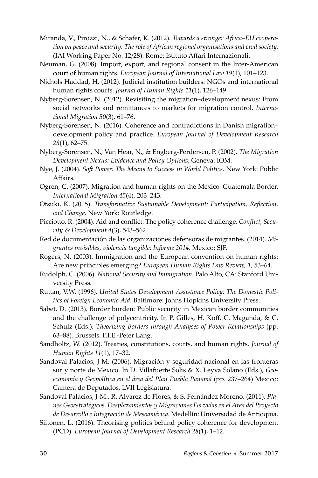- Miranda, V., Pirozzi, N., & Schäfer, K. (2012). *Towards a stronger Africa–EU cooperation on peace and security: The role of African regional organisations and civil society.* (IAI Working Paper No. 12/28). Rome: Istituto Affari Internazionali.
- Neuman, G. (2008). Import, export, and regional consent in the Inter-American court of human rights. *European Journal of International Law 19*(1), 101–123.
- Nichols Haddad, H. (2012). Judicial institution builders: NGOs and international human rights courts. *Journal of Human Rights 11*(1), 126–149.
- Nyberg-Sorensen, N. (2012). Revisiting the migration–development nexus: From social networks and remittances to markets for migration control. *International Migration 50*(3), 61–76.
- Nyberg-Sorensen, N. (2016). Coherence and contradictions in Danish migration– development policy and practice. *European Journal of Development Research 28*(1), 62–75.
- Nyberg-Sorensen, N., Van Hear, N., & Engberg-Perdersen, P. (2002). *The Migration Development Nexus: Evidence and Policy Options.* Geneva: IOM.
- Nye, J. (2004). *Soft Power: The Means to Success in World Politics.* New York: Public Affairs.
- Ogren, C. (2007). Migration and human rights on the Mexico–Guatemala Border. *International Migration 45*(4), 203–243.
- Otsuki, K. (2015). *Transformative Sustainable Development: Participation, Reflection, and Change.* New York: Routledge.
- Picciotto, R. (2004). Aid and conflict: The policy coherence challenge. *Conflict, Security & Development 4*(3), 543–562.
- Red de documentación de las organizaciones defensoras de migrantes. (2014). *Migrantes invisibles, violencia tangible: Informe 2014.* Mexico: SJF.
- Rogers, N. (2003). Immigration and the European convention on human rights: Are new principles emerging? *European Human Rights Law Review, 1,* 53–64.
- Rudolph, C. (2006). *National Security and Immigration.* Palo Alto, CA: Stanford University Press.
- Ruttan, V.W. (1996). United States Development Assistance Policy: The Domestic Poli*tics of Foreign Economic Aid.* Baltimore: Johns Hopkins University Press.
- Sabet, D. (2013). Border burden: Public security in Mexican border communities and the challenge of polycentricity. In P. Gilles, H. Koff, C. Maganda, & C. Schulz (Eds.), *Theorizing Borders through Analyses of Power Relationships* (pp. 63–88)*.* Brussels: P.I.E.-Peter Lang.
- Sandholtz, W. (2012). Treaties, constitutions, courts, and human rights. *Journal of Human Rights 11*(1), 17–32.
- Sandoval Palacios, J-M. (2006). Migración y seguridad nacional en las fronteras sur y norte de Mexico. In D. Villafuerte Solis & X. Leyva Solano (Eds.), *Geoeconomía y Geopolítica en el área del Plan Puebla Panamá* (pp. 237–264) Mexico: Camera de Deputados, LVII Legislatura.
- Sandoval Palacios, J-M., R. Álvarez de Flores, & S. Fernández Moreno. (2011). *Planes Geoestratégicos. Desplazamientos y Migraciones Forzadas en el Area del Proyecto de Desarrollo e Integración de Mesoamérica.* Medellín: Universidad de Antioquia.
- Siitonen, L. (2016). Theorising politics behind policy coherence for development (PCD). *European Journal of Development Research 28*(1), 1–12.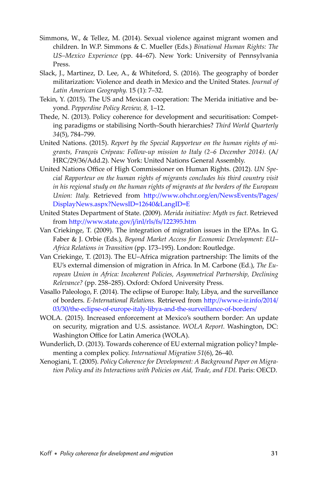- Simmons, W., & Tellez, M. (2014). Sexual violence against migrant women and children. In W.P. Simmons & C. Mueller (Eds.) *Binational Human Rights: The US–Mexico Experience* (pp. 44–67). New York: University of Pennsylvania Press.
- Slack, J., Martinez, D. Lee, A., & Whiteford, S. (2016). The geography of border militarization: Violence and death in Mexico and the United States. *Journal of Latin American Geography.* 15 (1): 7–32.
- Tekin, Y. (2015). The US and Mexican cooperation: The Merida initiative and beyond. *Pepperdine Policy Review, 8,* 1–12.
- Thede, N. (2013). Policy coherence for development and securitisation: Competing paradigms or stabilising North–South hierarchies? *Third World Quarterly 34*(5), 784–799.
- United Nations. (2015). *Report by the Special Rapporteur on the human rights of migrants, François Crépeau: Follow-up mission to Italy (2–6 December 2014).* (A/ HRC/29/36/Add.2). New York: United Nations General Assembly.
- United Nations Office of High Commissioner on Human Rights. (2012). *UN Special Rapporteur on the human rights of migrants concludes his third country visit in his regional study on the human rights of migrants at the borders of the European Union: Italy. Retrieved from http://www.ohchr.org/en/NewsEvents/Pages/* [DisplayNews.aspx?NewsID=12640&LangID=E](http://www.ohchr.org/en/NewsEvents/Pages/DisplayNews.aspx?NewsID=12640&LangID=E)
- United States Department of State. (2009). *Merida initiative: Myth vs fact.* Retrieved from http://www.state.gov/j/inl/rls/fs/122395.htm
- Van Criekinge, T. (2009). The integration of migration issues in the EPAs. In G. Faber & J. Orbie (Eds.), *Beyond Market Access for Economic Development: EU– Africa Relations in Transition* (pp. 173–195). London: Routledge.
- Van Criekinge, T. (2013). The EU–Africa migration partnership: The limits of the EU's external dimension of migration in Africa. In M. Carbone (Ed.), *The European Union in Africa: Incoherent Policies, Asymmetrical Partnership, Declining Relevance?* (pp. 258–285). Oxford: Oxford University Press.
- Vasallo Paleologo, F. (2014). The eclipse of Europe: Italy, Libya, and the surveillance of borders. *E-International Relations*. Retrieved from http://www.e-ir.info/2014/ [03/30/the-eclipse-of-europe-italy-libya-and-the-surveillance-of-borders/](http://www.e-ir.info/2014 03/30/the-eclipse-of-europe-italy-libya-and-the-surveillance-of-borders)
- WOLA. (2015). Increased enforcement at Mexico's southern border: An update on security, migration and U.S. assistance. *WOLA Report.* Washington, DC: Washington Office for Latin America (WOLA).
- Wunderlich, D. (2013). Towards coherence of EU external migration policy? Implementing a complex policy. *International Migration 51*(6), 26–40.
- Xenogiani, T. (2005). *Policy Coherence for Development: A Background Paper on Migration Policy and its Interactions with Policies on Aid, Trade, and FDI.* Paris: OECD.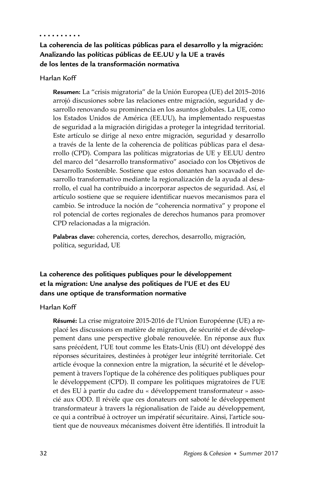#### . . . . . . . . . .

### **La coherencia de las políticas públicas para el desarrollo y la migración: Analizando las políticas públicas de EE.UU y la UE a través de los lentes de la transformación normativa**

#### Harlan Koff

**Resumen:** La "crisis migratoria" de la Unión Europea (UE) del 2015–2016 arrojó discusiones sobre las relaciones entre migración, seguridad y desarrollo renovando su prominencia en los asuntos globales. La UE, como los Estados Unidos de América (EE.UU), ha implementado respuestas de seguridad a la migración dirigidas a proteger la integridad territorial. Este artículo se dirige al nexo entre migración, seguridad y desarrollo a través de la lente de la coherencia de políticas públicas para el desarrollo (CPD). Compara las políticas migratorias de UE y EE.UU dentro del marco del "desarrollo transformativo" asociado con los Objetivos de Desarrollo Sostenible. Sostiene que estos donantes han socavado el desarrollo transformativo mediante la regionalización de la ayuda al desarrollo, el cual ha contribuido a incorporar aspectos de seguridad. Así, el artículo sostiene que se requiere identificar nuevos mecanismos para el cambio. Se introduce la noción de "coherencia normativa" y propone el rol potencial de cortes regionales de derechos humanos para promover CPD relacionadas a la migración.

**Palabras clave:** coherencia, cortes, derechos, desarrollo, migración, política, seguridad, UE

## **La coherence des politiques publiques pour le développement et la migration: Une analyse des politiques de l'UE et des EU dans une optique de transformation normative**

#### Harlan Koff

**Résumé:** La crise migratoire 2015-2016 de l'Union Européenne (UE) a replacé les discussions en matière de migration, de sécurité et de développement dans une perspective globale renouvelée. En réponse aux flux sans précédent, l'UE tout comme les Etats-Unis (EU) ont développé des réponses sécuritaires, destinées à protéger leur intégrité territoriale. Cet article évoque la connexion entre la migration, la sécurité et le développement à travers l'optique de la cohérence des politiques publiques pour le développement (CPD). Il compare les politiques migratoires de l'UE et des EU à partir du cadre du « développement transformateur » associé aux ODD. Il révèle que ces donateurs ont saboté le développement transformateur à travers la régionalisation de l'aide au développement, ce qui a contribué à octroyer un impératif sécuritaire. Ainsi, l'article soutient que de nouveaux mécanismes doivent être identifiés. Il introduit la